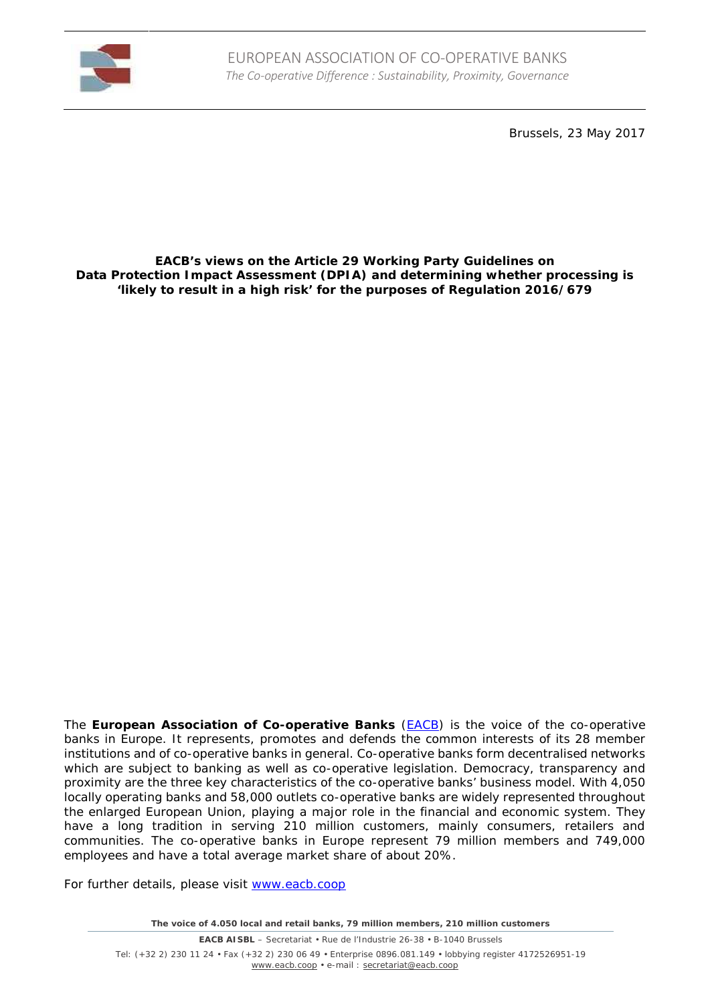

Brussels, 23 May 2017

### **EACB's views on the Article 29 Working Party Guidelines on Data Protection Impact Assessment (DPIA) and determining whether processing is 'likely to result in a high risk' for the purposes of Regulation 2016/679**

The **European Association of Co-operative Banks** (EACB) is the voice of the co-operative banks in Europe. It represents, promotes and defends the common interests of its 28 member institutions and of co-operative banks in general. Co-operative banks form decentralised networks which are subject to banking as well as co-operative legislation. Democracy, transparency and proximity are the three key characteristics of the co-operative banks' business model. With 4,050 locally operating banks and 58,000 outlets co-operative banks are widely represented throughout the enlarged European Union, playing a major role in the financial and economic system. They have a long tradition in serving 210 million customers, mainly consumers, retailers and communities. The co-operative banks in Europe represent 79 million members and 749,000 employees and have a total average market share of about 20%.

For further details, please visit www.eacb.coop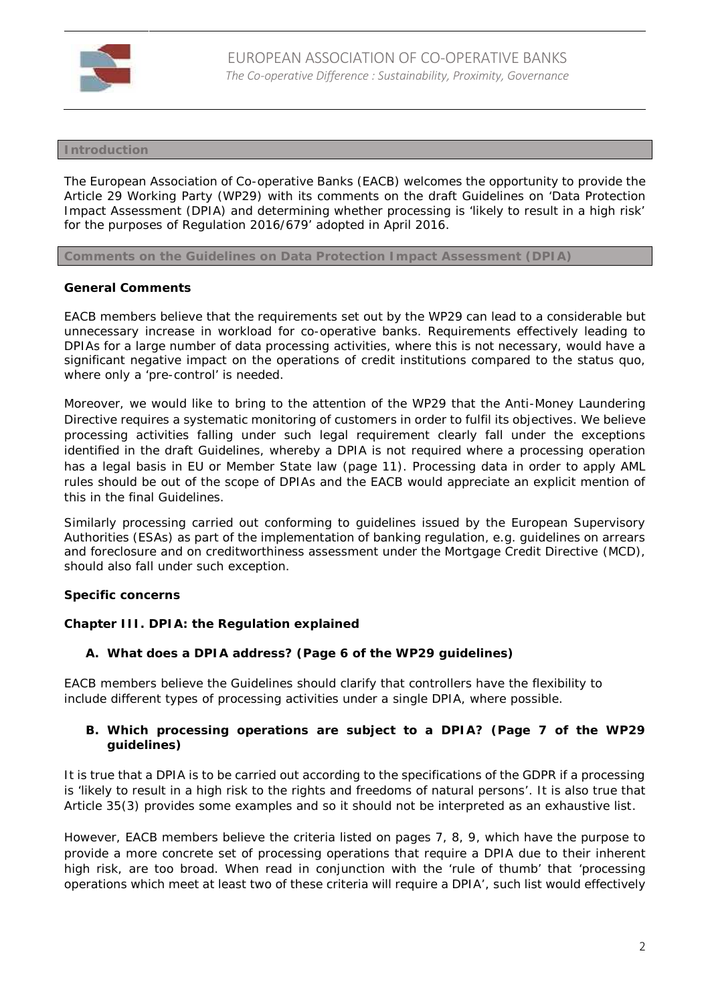

## **Introduction**

The European Association of Co-operative Banks (EACB) welcomes the opportunity to provide the Article 29 Working Party (WP29) with its comments on the draft Guidelines on 'Data Protection Impact Assessment (DPIA) and determining whether processing is 'likely to result in a high risk' for the purposes of Regulation 2016/679' adopted in April 2016.

**Comments on the Guidelines on Data Protection Impact Assessment (DPIA)**

## **General Comments**

EACB members believe that the requirements set out by the WP29 can lead to a considerable but unnecessary increase in workload for co-operative banks. Requirements effectively leading to DPIAs for a large number of data processing activities, where this is not necessary, would have a significant negative impact on the operations of credit institutions compared to the status quo, where only a 'pre-control' is needed.

Moreover, we would like to bring to the attention of the WP29 that the Anti-Money Laundering Directive requires a systematic monitoring of customers in order to fulfil its objectives. We believe processing activities falling under such legal requirement clearly fall under the exceptions identified in the draft Guidelines, whereby a DPIA is not required where a processing operation has a legal basis in EU or Member State law (page 11). Processing data in order to apply AML rules should be out of the scope of DPIAs and the EACB would appreciate an explicit mention of this in the final Guidelines.

Similarly processing carried out conforming to guidelines issued by the European Supervisory Authorities (ESAs) as part of the implementation of banking regulation, e.g. guidelines on arrears and foreclosure and on creditworthiness assessment under the Mortgage Credit Directive (MCD), should also fall under such exception.

# **Specific concerns**

**Chapter III. DPIA: the Regulation explained**

**A. What does a DPIA address? (Page 6 of the WP29 guidelines)**

EACB members believe the Guidelines should clarify that controllers have the flexibility to include different types of processing activities under a single DPIA, where possible.

**B. Which processing operations are subject to a DPIA? (Page 7 of the WP29 guidelines)**

It is true that a DPIA is to be carried out according to the specifications of the GDPR if a processing is *'likely to result in a high risk to the rights and freedoms of natural persons'*. It is also true that Article 35(3) provides some examples and so it should not be interpreted as an exhaustive list.

However, EACB members believe the criteria listed on pages 7, 8, 9, which have the purpose to provide a more concrete set of processing operations that require a DPIA due to their inherent high risk, are too broad. When read in conjunction with the 'rule of thumb' that *'processing operations which meet at least two of these criteria will require a DPIA'*, such list would effectively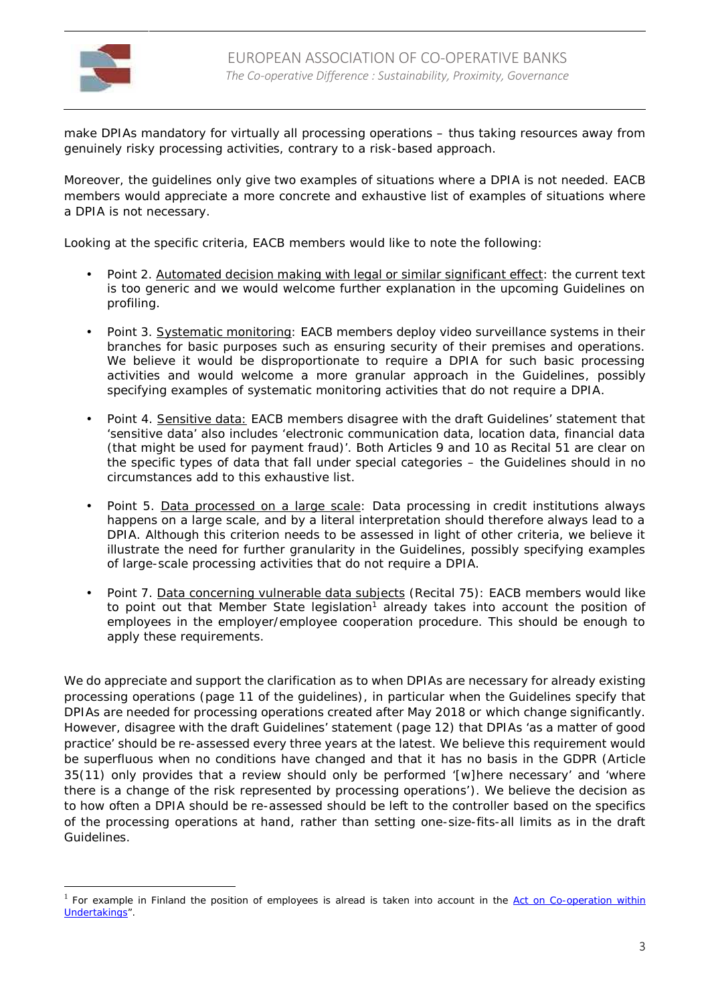

make DPIAs mandatory for virtually all processing operations – thus taking resources away from genuinely risky processing activities, contrary to a risk-based approach.

Moreover, the guidelines only give two examples of situations where a DPIA is not needed. EACB members would appreciate a more concrete and exhaustive list of examples of situations where a DPIA is not necessary.

Looking at the specific criteria, EACB members would like to note the following:

- Point 2. Automated decision making with legal or similar significant effect: the current text is too generic and we would welcome further explanation in the upcoming Guidelines on profiling.
- Point 3. Systematic monitoring: EACB members deploy video surveillance systems in their branches for basic purposes such as ensuring security of their premises and operations. We believe it would be disproportionate to require a DPIA for such basic processing activities and would welcome a more granular approach in the Guidelines, possibly specifying examples of systematic monitoring activities that do not require a DPIA.
- Point 4. Sensitive data: EACB members disagree with the draft Guidelines' statement that 'sensitive data' also includes '*electronic communication data, location data, financial data (that might be used for payment fraud)'*. Both Articles 9 and 10 as Recital 51 are clear on the specific types of data that fall under special categories – the Guidelines should in no circumstances add to this exhaustive list.
- Point 5. Data processed on a large scale: Data processing in credit institutions always happens on a large scale, and by a literal interpretation should therefore always lead to a DPIA. Although this criterion needs to be assessed in light of other criteria, we believe it illustrate the need for further granularity in the Guidelines, possibly specifying examples of large-scale processing activities that do not require a DPIA.
- Point 7. Data concerning vulnerable data subjects (Recital 75): EACB members would like to point out that Member State legislation<sup>1</sup> already takes into account the position of employees in the employer/employee cooperation procedure. This should be enough to apply these requirements.

We do appreciate and support the clarification as to when DPIAs are necessary for already existing processing operations (page 11 of the guidelines), in particular when the Guidelines specify that DPIAs are needed for processing operations created after May 2018 or which change significantly. However, disagree with the draft Guidelines' statement (page 12) that DPIAs '*as a matter of good practice'* should be re-assessed every three years at the latest. We believe this requirement would be superfluous when no conditions have changed and that it has no basis in the GDPR (Article 35(11) only provides that a review should only be performed *'[w]here necessary'* and *'where there is a change of the risk represented by processing operations'*). We believe the decision as to how often a DPIA should be re-assessed should be left to the controller based on the specifics of the processing operations at hand, rather than setting one-size-fits-all limits as in the draft Guidelines.

<sup>&</sup>lt;sup>1</sup> For example in Finland the position of employees is alread is taken into account in the Act on Co-operation within Undertakings".